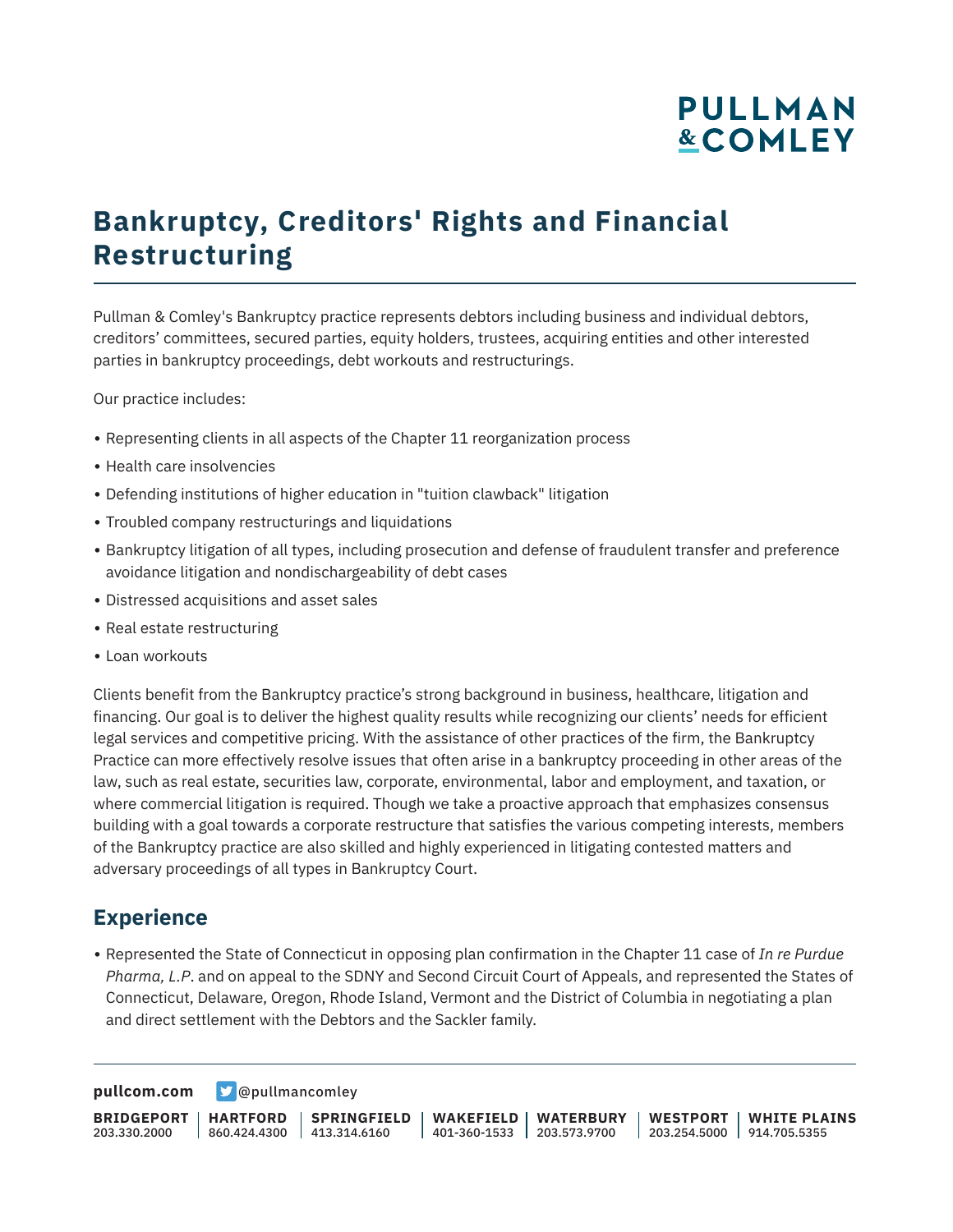# **PULLMAN &COMLEY**

# **Bankruptcy, Creditors' Rights and Financial Restructuring**

Pullman & Comley's Bankruptcy practice represents debtors including business and individual debtors, creditors' committees, secured parties, equity holders, trustees, acquiring entities and other interested parties in bankruptcy proceedings, debt workouts and restructurings.

Our practice includes:

- Representing clients in all aspects of the Chapter 11 reorganization process
- Health care insolvencies
- Defending institutions of higher education in "tuition clawback" litigation
- Troubled company restructurings and liquidations
- Bankruptcy litigation of all types, including prosecution and defense of fraudulent transfer and preference avoidance litigation and nondischargeability of debt cases
- Distressed acquisitions and asset sales
- Real estate restructuring
- Loan workouts

Clients benefit from the Bankruptcy practice's strong background in business, healthcare, litigation and financing. Our goal is to deliver the highest quality results while recognizing our clients' needs for efficient legal services and competitive pricing. With the assistance of other practices of the firm, the Bankruptcy Practice can more effectively resolve issues that often arise in a bankruptcy proceeding in other areas of the law, such as real estate, securities law, corporate, environmental, labor and employment, and taxation, or where commercial litigation is required. Though we take a proactive approach that emphasizes consensus building with a goal towards a corporate restructure that satisfies the various competing interests, members of the Bankruptcy practice are also skilled and highly experienced in litigating contested matters and adversary proceedings of all types in Bankruptcy Court.

#### **Experience**

● Represented the State of Connecticut in opposing plan confirmation in the Chapter 11 case of *In re Purdue Pharma, L.P*. and on appeal to the SDNY and Second Circuit Court of Appeals, and represented the States of Connecticut, Delaware, Oregon, Rhode Island, Vermont and the District of Columbia in negotiating a plan and direct settlement with the Debtors and the Sackler family.

**[pullcom.com](https://www.pullcom.com) g** [@pullmancomley](https://twitter.com/PullmanComley)

**BRIDGEPORT HARTFORD** 203.330.2000 860.424.4300 413.314.6160 **SPRINGFIELD WAKEFIELD WATERBURY** 401-360-1533 203.573.9700 **WESTPORT WHITE PLAINS** 203.254.5000 914.705.5355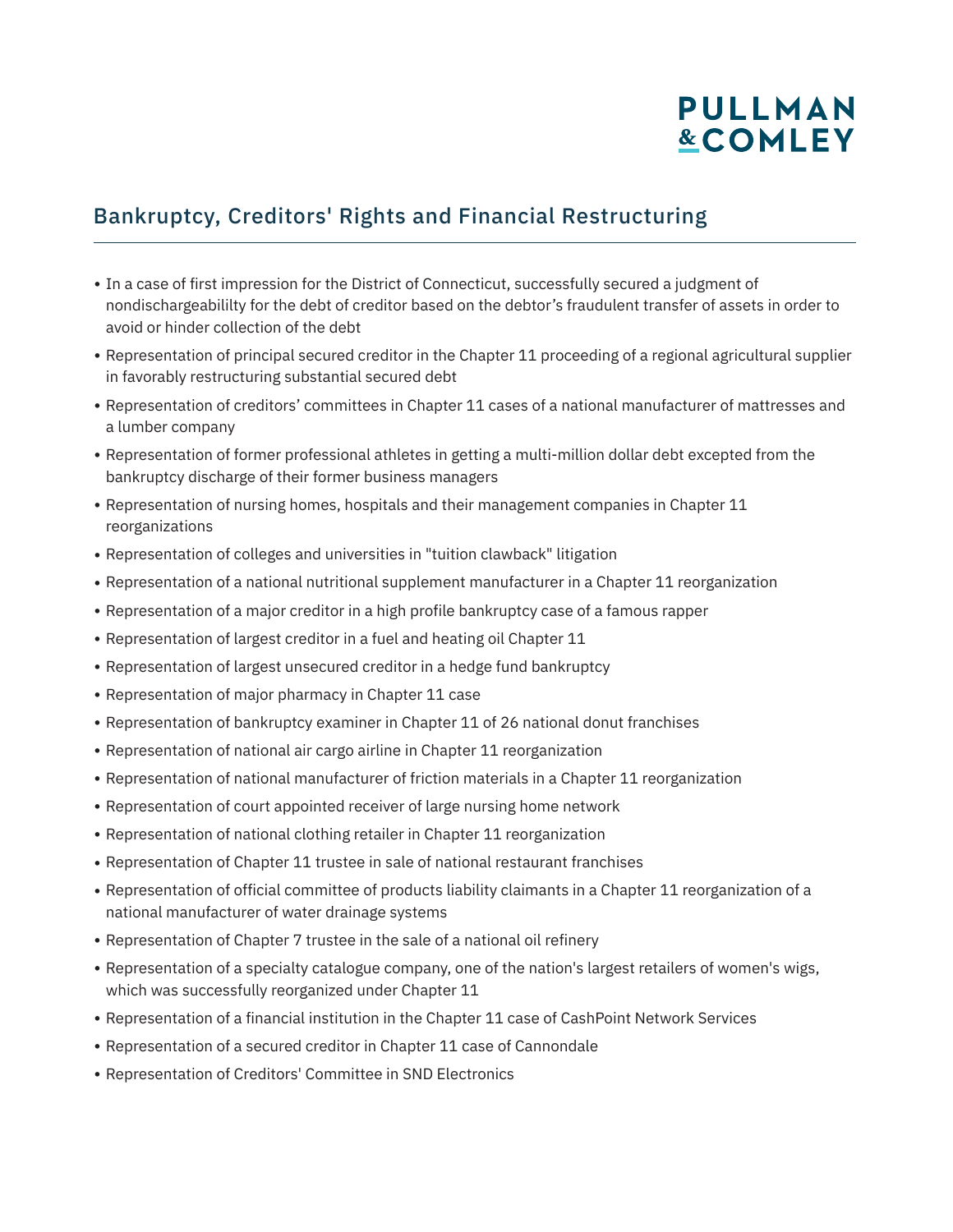# PULLMAN **&COMLEY**

#### Bankruptcy, Creditors' Rights and Financial Restructuring

- In a case of first impression for the District of Connecticut, successfully secured a judgment of nondischargeabililty for the debt of creditor based on the debtor's fraudulent transfer of assets in order to avoid or hinder collection of the debt
- Representation of principal secured creditor in the Chapter 11 proceeding of a regional agricultural supplier in favorably restructuring substantial secured debt
- Representation of creditors' committees in Chapter 11 cases of a national manufacturer of mattresses and a lumber company
- Representation of former professional athletes in getting a multi-million dollar debt excepted from the bankruptcy discharge of their former business managers
- Representation of nursing homes, hospitals and their management companies in Chapter 11 reorganizations
- Representation of colleges and universities in "tuition clawback" litigation
- Representation of a national nutritional supplement manufacturer in a Chapter 11 reorganization
- Representation of a major creditor in a high profile bankruptcy case of a famous rapper
- Representation of largest creditor in a fuel and heating oil Chapter 11
- Representation of largest unsecured creditor in a hedge fund bankruptcy
- Representation of major pharmacy in Chapter 11 case
- Representation of bankruptcy examiner in Chapter 11 of 26 national donut franchises
- Representation of national air cargo airline in Chapter 11 reorganization
- Representation of national manufacturer of friction materials in a Chapter 11 reorganization
- Representation of court appointed receiver of large nursing home network
- Representation of national clothing retailer in Chapter 11 reorganization
- Representation of Chapter 11 trustee in sale of national restaurant franchises
- Representation of official committee of products liability claimants in a Chapter 11 reorganization of a national manufacturer of water drainage systems
- Representation of Chapter 7 trustee in the sale of a national oil refinery
- Representation of a specialty catalogue company, one of the nation's largest retailers of women's wigs, which was successfully reorganized under Chapter 11
- Representation of a financial institution in the Chapter 11 case of CashPoint Network Services
- Representation of a secured creditor in Chapter 11 case of Cannondale
- Representation of Creditors' Committee in SND Electronics